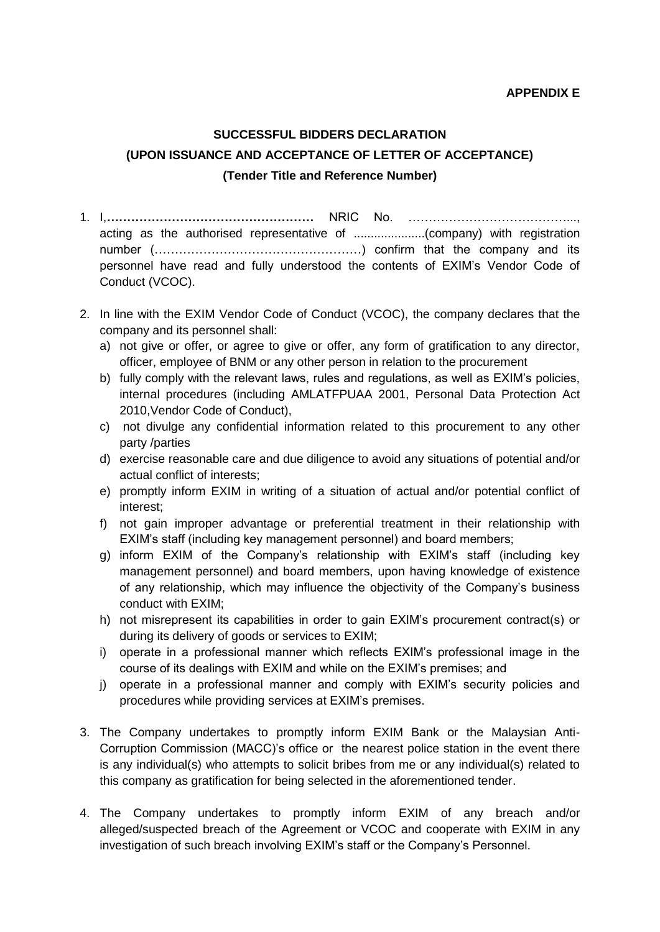## **SUCCESSFUL BIDDERS DECLARATION (UPON ISSUANCE AND ACCEPTANCE OF LETTER OF ACCEPTANCE) (Tender Title and Reference Number)**

- 1. I,**……………………………………………** NRIC No. …………………………………..., acting as the authorised representative of .....................(company) with registration number (……………………………………………) confirm that the company and its personnel have read and fully understood the contents of EXIM's Vendor Code of Conduct (VCOC).
- 2. In line with the EXIM Vendor Code of Conduct (VCOC), the company declares that the company and its personnel shall:
	- a) not give or offer, or agree to give or offer, any form of gratification to any director, officer, employee of BNM or any other person in relation to the procurement
	- b) fully comply with the relevant laws, rules and regulations, as well as EXIM's policies, internal procedures (including AMLATFPUAA 2001, Personal Data Protection Act 2010,Vendor Code of Conduct),
	- c) not divulge any confidential information related to this procurement to any other party /parties
	- d) exercise reasonable care and due diligence to avoid any situations of potential and/or actual conflict of interests;
	- e) promptly inform EXIM in writing of a situation of actual and/or potential conflict of interest;
	- f) not gain improper advantage or preferential treatment in their relationship with EXIM's staff (including key management personnel) and board members;
	- g) inform EXIM of the Company's relationship with EXIM's staff (including key management personnel) and board members, upon having knowledge of existence of any relationship, which may influence the objectivity of the Company's business conduct with EXIM;
	- h) not misrepresent its capabilities in order to gain EXIM's procurement contract(s) or during its delivery of goods or services to EXIM;
	- i) operate in a professional manner which reflects EXIM's professional image in the course of its dealings with EXIM and while on the EXIM's premises; and
	- j) operate in a professional manner and comply with EXIM's security policies and procedures while providing services at EXIM's premises.
- 3. The Company undertakes to promptly inform EXIM Bank or the Malaysian Anti-Corruption Commission (MACC)'s office or the nearest police station in the event there is any individual(s) who attempts to solicit bribes from me or any individual(s) related to this company as gratification for being selected in the aforementioned tender.
- 4. The Company undertakes to promptly inform EXIM of any breach and/or alleged/suspected breach of the Agreement or VCOC and cooperate with EXIM in any investigation of such breach involving EXIM's staff or the Company's Personnel.